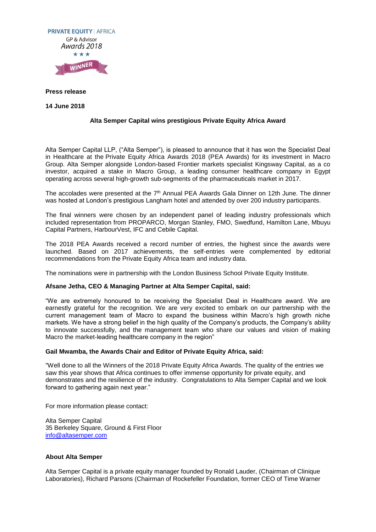

### **Press release**

### **14 June 2018**

### **Alta Semper Capital wins prestigious Private Equity Africa Award**

Alta Semper Capital LLP, ("Alta Semper"), is pleased to announce that it has won the Specialist Deal in Healthcare at the Private Equity Africa Awards 2018 (PEA Awards) for its investment in Macro Group. Alta Semper alongside London-based Frontier markets specialist Kingsway Capital, as a co investor, acquired a stake in Macro Group, a leading consumer healthcare company in Egypt operating across several high-growth sub-segments of the pharmaceuticals market in 2017.

The accolades were presented at the 7th Annual PEA Awards Gala Dinner on 12th June. The dinner was hosted at London's prestigious Langham hotel and attended by over 200 industry participants.

The final winners were chosen by an independent panel of leading industry professionals which included representation from PROPARCO, Morgan Stanley, FMO, Swedfund, Hamilton Lane, Mbuyu Capital Partners, HarbourVest, IFC and Cebile Capital.

The 2018 PEA Awards received a record number of entries, the highest since the awards were launched. Based on 2017 achievements, the self-entries were complemented by editorial recommendations from the Private Equity Africa team and industry data.

The nominations were in partnership with the London Business School Private Equity Institute.

## **Afsane Jetha, CEO & Managing Partner at Alta Semper Capital, said:**

"We are extremely honoured to be receiving the Specialist Deal in Healthcare award. We are earnestly grateful for the recognition. We are very excited to embark on our partnership with the current management team of Macro to expand the business within Macro's high growth niche markets. We have a strong belief in the high quality of the Company's products, the Company's ability to innovate successfully, and the management team who share our values and vision of making Macro the market-leading healthcare company in the region"

### **Gail Mwamba, the Awards Chair and Editor of Private Equity Africa, said:**

"Well done to all the Winners of the 2018 Private Equity Africa Awards. The quality of the entries we saw this year shows that Africa continues to offer immense opportunity for private equity, and demonstrates and the resilience of the industry. Congratulations to Alta Semper Capital and we look forward to gathering again next year."

For more information please contact:

Alta Semper Capital 35 Berkeley Square, Ground & First Floor [info@altasemper.com](mailto:info@altasemper.com)

### **About Alta Semper**

Alta Semper Capital is a private equity manager founded by Ronald Lauder, (Chairman of Clinique Laboratories), Richard Parsons (Chairman of Rockefeller Foundation, former CEO of Time Warner